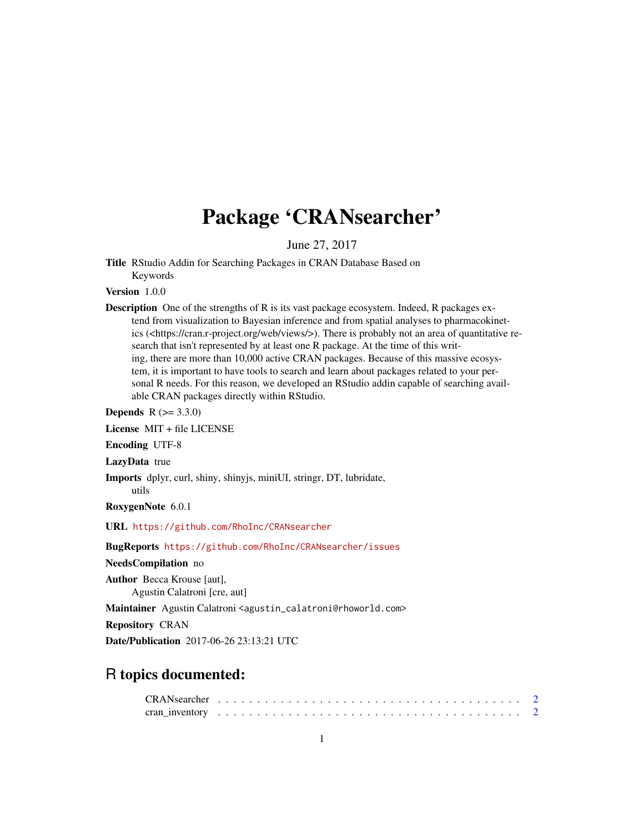## Package 'CRANsearcher'

June 27, 2017

Title RStudio Addin for Searching Packages in CRAN Database Based on Keywords

Version 1.0.0

Description One of the strengths of R is its vast package ecosystem. Indeed, R packages extend from visualization to Bayesian inference and from spatial analyses to pharmacokinetics (<https://cran.r-project.org/web/views/>). There is probably not an area of quantitative research that isn't represented by at least one R package. At the time of this writing, there are more than 10,000 active CRAN packages. Because of this massive ecosystem, it is important to have tools to search and learn about packages related to your personal R needs. For this reason, we developed an RStudio addin capable of searching available CRAN packages directly within RStudio.

**Depends**  $R (= 3.3.0)$ 

License MIT + file LICENSE

Encoding UTF-8

LazyData true

Imports dplyr, curl, shiny, shinyjs, miniUI, stringr, DT, lubridate, utils

RoxygenNote 6.0.1

URL <https://github.com/RhoInc/CRANsearcher>

#### BugReports <https://github.com/RhoInc/CRANsearcher/issues>

NeedsCompilation no

Author Becca Krouse [aut], Agustin Calatroni [cre, aut]

Maintainer Agustin Calatroni <agustin\_calatroni@rhoworld.com>

Repository CRAN

Date/Publication 2017-06-26 23:13:21 UTC

### R topics documented: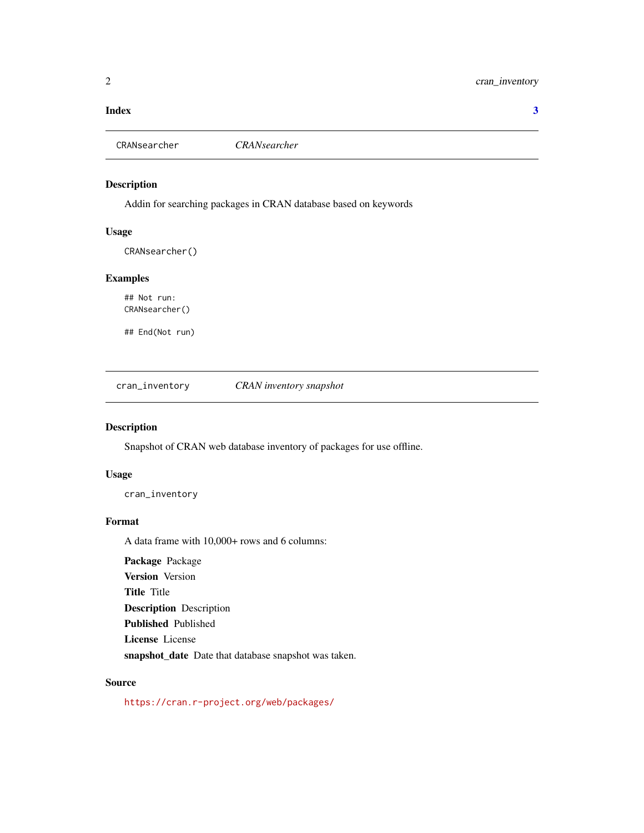#### <span id="page-1-0"></span>**Index** [3](#page-2-0)

CRANsearcher *CRANsearcher*

#### Description

Addin for searching packages in CRAN database based on keywords

#### Usage

CRANsearcher()

#### Examples

## Not run: CRANsearcher()

## End(Not run)

cran\_inventory *CRAN inventory snapshot*

#### Description

Snapshot of CRAN web database inventory of packages for use offline.

#### Usage

cran\_inventory

#### Format

A data frame with 10,000+ rows and 6 columns:

Package Package Version Version Title Title Description Description Published Published License License snapshot\_date Date that database snapshot was taken.

#### Source

<https://cran.r-project.org/web/packages/>